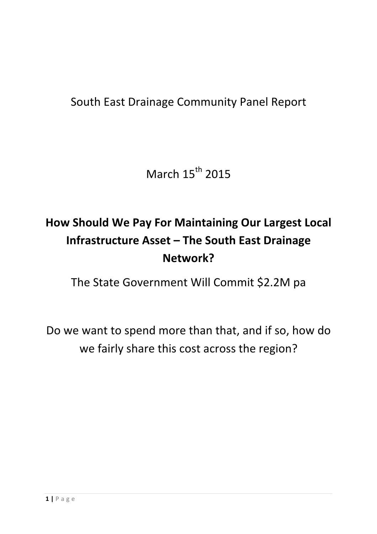### South East Drainage Community Panel Report

March  $15^{th}$  2015

### **How Should We Pay For Maintaining Our Largest Local Infrastructure Asset - The South East Drainage Network?**

The State Government Will Commit \$2.2M pa

Do we want to spend more than that, and if so, how do we fairly share this cost across the region?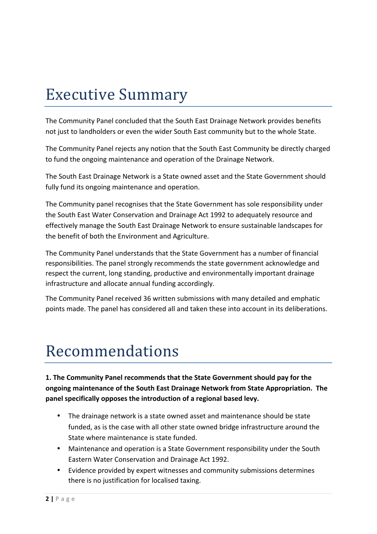# **Executive Summary**

The Community Panel concluded that the South East Drainage Network provides benefits not just to landholders or even the wider South East community but to the whole State.

The Community Panel rejects any notion that the South East Community be directly charged to fund the ongoing maintenance and operation of the Drainage Network.

The South East Drainage Network is a State owned asset and the State Government should fully fund its ongoing maintenance and operation.

The Community panel recognises that the State Government has sole responsibility under the South East Water Conservation and Drainage Act 1992 to adequately resource and effectively manage the South East Drainage Network to ensure sustainable landscapes for the benefit of both the Environment and Agriculture.

The Community Panel understands that the State Government has a number of financial responsibilities. The panel strongly recommends the state government acknowledge and respect the current, long standing, productive and environmentally important drainage infrastructure and allocate annual funding accordingly.

The Community Panel received 36 written submissions with many detailed and emphatic points made. The panel has considered all and taken these into account in its deliberations.

## Recommendations

1. The Community Panel recommends that the State Government should pay for the **ongoing maintenance of the South East Drainage Network from State Appropriation. The** panel specifically opposes the introduction of a regional based levy.

- The drainage network is a state owned asset and maintenance should be state funded, as is the case with all other state owned bridge infrastructure around the State where maintenance is state funded.
- Maintenance and operation is a State Government responsibility under the South Eastern Water Conservation and Drainage Act 1992.
- Evidence provided by expert witnesses and community submissions determines there is no justification for localised taxing.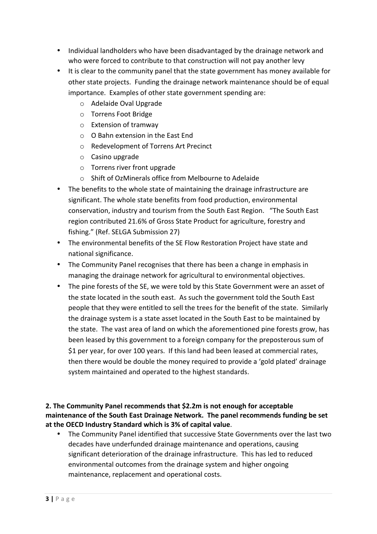- Individual landholders who have been disadvantaged by the drainage network and who were forced to contribute to that construction will not pay another levy
- It is clear to the community panel that the state government has money available for other state projects. Funding the drainage network maintenance should be of equal importance. Examples of other state government spending are:
	- $\circ$  Adelaide Oval Upgrade
	- o Torrens Foot Bridge
	- $\circ$  Extension of tramway
	- $\circ$  O Bahn extension in the East End
	- o Redevelopment of Torrens Art Precinct
	- $\circ$  Casino upgrade
	- $\circ$  Torrens river front upgrade
	- $\circ$  Shift of OzMinerals office from Melbourne to Adelaide
- The benefits to the whole state of maintaining the drainage infrastructure are significant. The whole state benefits from food production, environmental conservation, industry and tourism from the South East Region. "The South East region contributed 21.6% of Gross State Product for agriculture, forestry and fishing." (Ref. SELGA Submission 27)
- The environmental benefits of the SE Flow Restoration Project have state and national significance.
- The Community Panel recognises that there has been a change in emphasis in managing the drainage network for agricultural to environmental objectives.
- The pine forests of the SE, we were told by this State Government were an asset of the state located in the south east. As such the government told the South East people that they were entitled to sell the trees for the benefit of the state. Similarly the drainage system is a state asset located in the South East to be maintained by the state. The vast area of land on which the aforementioned pine forests grow, has been leased by this government to a foreign company for the preposterous sum of \$1 per year, for over 100 years. If this land had been leased at commercial rates, then there would be double the money required to provide a 'gold plated' drainage system maintained and operated to the highest standards.

#### **2.** The Community Panel recommends that \$2.2m is not enough for acceptable maintenance of the South East Drainage Network. The panel recommends funding be set at the OECD Industry Standard which is 3% of capital value.

• The Community Panel identified that successive State Governments over the last two decades have underfunded drainage maintenance and operations, causing significant deterioration of the drainage infrastructure. This has led to reduced environmental outcomes from the drainage system and higher ongoing maintenance, replacement and operational costs.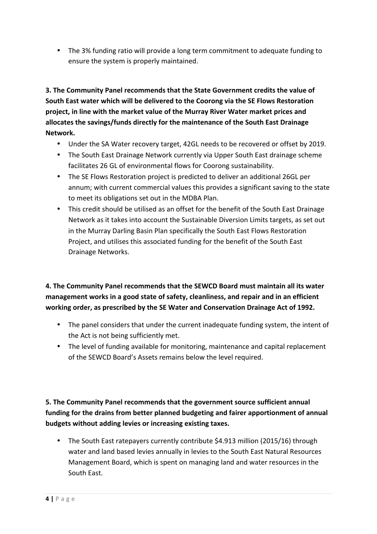• The 3% funding ratio will provide a long term commitment to adequate funding to ensure the system is properly maintained.

**3. The Community Panel recommends that the State Government credits the value of** South East water which will be delivered to the Coorong via the SE Flows Restoration project, in line with the market value of the Murray River Water market prices and allocates the savings/funds directly for the maintenance of the South East Drainage **Network.** 

- Under the SA Water recovery target, 42GL needs to be recovered or offset by 2019.
- The South East Drainage Network currently via Upper South East drainage scheme facilitates 26 GL of environmental flows for Coorong sustainability.
- The SE Flows Restoration project is predicted to deliver an additional 26GL per annum; with current commercial values this provides a significant saving to the state to meet its obligations set out in the MDBA Plan.
- This credit should be utilised as an offset for the benefit of the South East Drainage Network as it takes into account the Sustainable Diversion Limits targets, as set out in the Murray Darling Basin Plan specifically the South East Flows Restoration Project, and utilises this associated funding for the benefit of the South East Drainage Networks.

#### **4. The Community Panel recommends that the SEWCD Board must maintain all its water** management works in a good state of safety, cleanliness, and repair and in an efficient working order, as prescribed by the SE Water and Conservation Drainage Act of 1992.

- The panel considers that under the current inadequate funding system, the intent of the Act is not being sufficiently met.
- The level of funding available for monitoring, maintenance and capital replacement of the SEWCD Board's Assets remains below the level required.

#### **5. The Community Panel recommends that the government source sufficient annual** funding for the drains from better planned budgeting and fairer apportionment of annual **budgets without adding levies or increasing existing taxes.**

• The South East ratepayers currently contribute \$4.913 million (2015/16) through water and land based levies annually in levies to the South East Natural Resources Management Board, which is spent on managing land and water resources in the South East.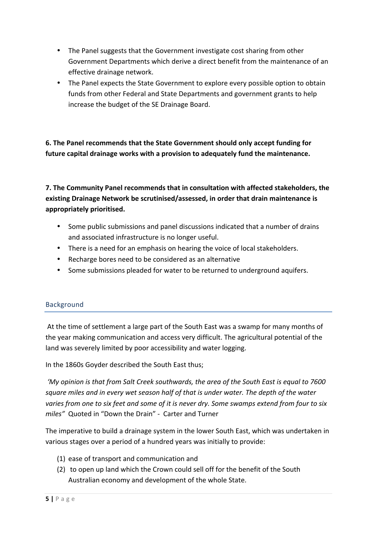- The Panel suggests that the Government investigate cost sharing from other Government Departments which derive a direct benefit from the maintenance of an effective drainage network.
- The Panel expects the State Government to explore every possible option to obtain funds from other Federal and State Departments and government grants to help increase the budget of the SE Drainage Board.

**6.** The Panel recommends that the State Government should only accept funding for future capital drainage works with a provision to adequately fund the maintenance.

**7.** The Community Panel recommends that in consultation with affected stakeholders, the existing Drainage Network be scrutinised/assessed, in order that drain maintenance is **appropriately prioritised.**

- Some public submissions and panel discussions indicated that a number of drains and associated infrastructure is no longer useful.
- There is a need for an emphasis on hearing the voice of local stakeholders.
- Recharge bores need to be considered as an alternative
- Some submissions pleaded for water to be returned to underground aquifers.

#### Background

At the time of settlement a large part of the South East was a swamp for many months of the year making communication and access very difficult. The agricultural potential of the land was severely limited by poor accessibility and water logging.

In the 1860s Goyder described the South East thus;

'My opinion is that from Salt Creek southwards, the area of the South East is equal to 7600 square miles and in every wet season half of that is under water. The depth of the water varies from one to six feet and some of it is never dry. Some swamps extend from four to six *miles*" Quoted in "Down the Drain" - Carter and Turner

The imperative to build a drainage system in the lower South East, which was undertaken in various stages over a period of a hundred years was initially to provide:

- (1) ease of transport and communication and
- (2) to open up land which the Crown could sell off for the benefit of the South Australian economy and development of the whole State.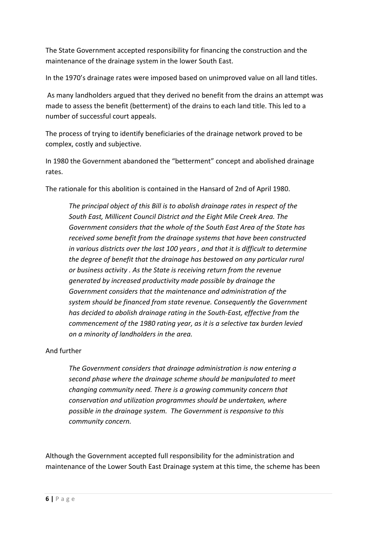The State Government accepted responsibility for financing the construction and the maintenance of the drainage system in the lower South East.

In the 1970's drainage rates were imposed based on unimproved value on all land titles.

As many landholders argued that they derived no benefit from the drains an attempt was made to assess the benefit (betterment) of the drains to each land title. This led to a number of successful court appeals.

The process of trying to identify beneficiaries of the drainage network proved to be complex, costly and subjective.

In 1980 the Government abandoned the "betterment" concept and abolished drainage rates.

The rationale for this abolition is contained in the Hansard of 2nd of April 1980.

*The principal object of this Bill is to abolish drainage rates in respect of the South East, Millicent Council District and the Eight Mile Creek Area. The*  Government considers that the whole of the South East Area of the State has received some benefit from the drainage systems that have been constructed in various districts over the last 100 years, and that it is difficult to determine the degree of benefit that the drainage has bestowed on any particular rural or business activity . As the State is receiving return from the revenue *generated by increased productivity made possible by drainage the* Government considers that the maintenance and administration of the system should be financed from state revenue. Consequently the Government *has* decided to abolish drainage rating in the South-East, effective from the *commencement of the 1980 rating year, as it is a selective tax burden levied on a minority of landholders in the area.*

#### And further

The Government considers that drainage administration is now entering a second phase where the drainage scheme should be manipulated to meet *changing community need. There is a growing community concern that conservation and utilization programmes should be undertaken, where* possible in the drainage system. The Government is responsive to this *community concern.*

Although the Government accepted full responsibility for the administration and maintenance of the Lower South East Drainage system at this time, the scheme has been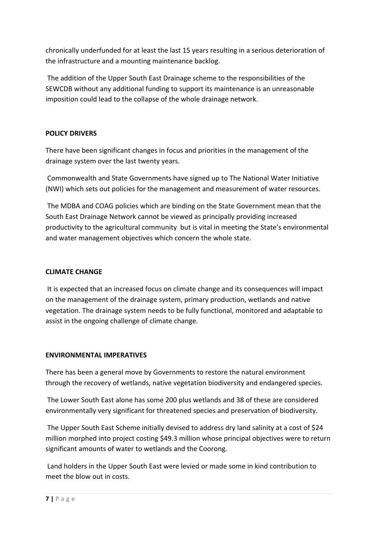chronically underfunded for at least the last 15 years resulting in a serious deterioration of the infrastructure and a mounting maintenance backlog.

The addition of the Upper South East Drainage scheme to the responsibilities of the SEWCDB without any additional funding to support its maintenance is an unreasonable imposition could lead to the collapse of the whole drainage network.

#### **POLICY DRIVERS**

There have been significant changes in focus and priorities in the management of the drainage system over the last twenty years.

Commonwealth and State Governments have signed up to The National Water Initiative (NWI) which sets out policies for the management and measurement of water resources.

The MDBA and COAG policies which are binding on the State Government mean that the South East Drainage Network cannot be viewed as principally providing increased productivity to the agricultural community but is vital in meeting the State's environmental and water management objectives which concern the whole state.

#### **CLIMATE CHANGE**

It is expected that an increased focus on climate change and its consequences will impact on the management of the drainage system, primary production, wetlands and native vegetation. The drainage system needs to be fully functional, monitored and adaptable to assist in the ongoing challenge of climate change.

#### **ENVIRONMENTAL IMPERATIVES**

There has been a general move by Governments to restore the natural environment through the recovery of wetlands, native vegetation biodiversity and endangered species.

The Lower South East alone has some 200 plus wetlands and 38 of these are considered environmentally very significant for threatened species and preservation of biodiversity.

The Upper South East Scheme initially devised to address dry land salinity at a cost of \$24 million morphed into project costing \$49.3 million whose principal objectives were to return significant amounts of water to wetlands and the Coorong.

Land holders in the Upper South East were levied or made some in kind contribution to meet the blow out in costs.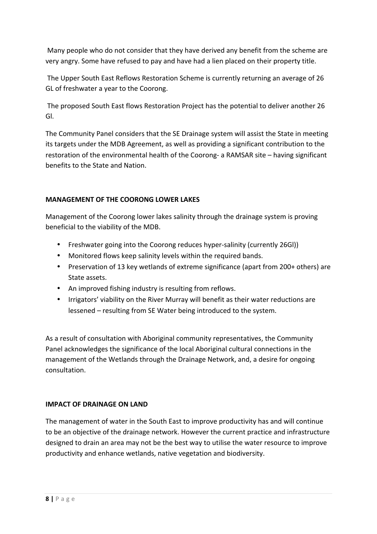Many people who do not consider that they have derived any benefit from the scheme are very angry. Some have refused to pay and have had a lien placed on their property title.

The Upper South East Reflows Restoration Scheme is currently returning an average of 26 GL of freshwater a year to the Coorong.

The proposed South East flows Restoration Project has the potential to deliver another 26 Gl.

The Community Panel considers that the SE Drainage system will assist the State in meeting its targets under the MDB Agreement, as well as providing a significant contribution to the restoration of the environmental health of the Coorong- a RAMSAR site – having significant benefits to the State and Nation.

#### **MANAGEMENT OF THE COORONG LOWER LAKES**

Management of the Coorong lower lakes salinity through the drainage system is proving beneficial to the viability of the MDB.

- Freshwater going into the Coorong reduces hyper-salinity (currently 26Gl))
- Monitored flows keep salinity levels within the required bands.
- Preservation of 13 key wetlands of extreme significance (apart from 200+ others) are State assets.
- An improved fishing industry is resulting from reflows.
- Irrigators' viability on the River Murray will benefit as their water reductions are lessened – resulting from SE Water being introduced to the system.

As a result of consultation with Aboriginal community representatives, the Community Panel acknowledges the significance of the local Aboriginal cultural connections in the management of the Wetlands through the Drainage Network, and, a desire for ongoing consultation.

#### **IMPACT OF DRAINAGE ON LAND**

The management of water in the South East to improve productivity has and will continue to be an objective of the drainage network. However the current practice and infrastructure designed to drain an area may not be the best way to utilise the water resource to improve productivity and enhance wetlands, native vegetation and biodiversity.